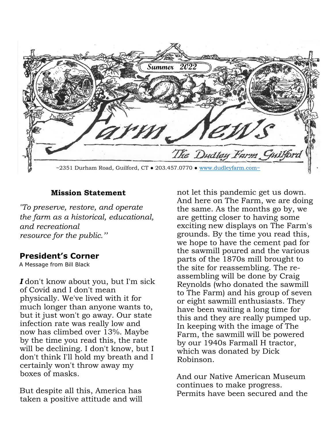

### **Mission Statement**

*"To preserve, restore, and operate the farm as a historical, educational, and recreational resource for the public.''* 

# **President's Corner**

A Message from Bill Black

*I* don't know about you, but I'm sick of Covid and I don't mean physically. We've lived with it for much longer than anyone wants to, but it just won't go away. Our state infection rate was really low and now has climbed over 13%. Maybe by the time you read this, the rate will be declining. I don't know, but I don't think I'll hold my breath and I certainly won't throw away my boxes of masks.

But despite all this, America has taken a positive attitude and will not let this pandemic get us down. And here on The Farm, we are doing the same. As the months go by, we are getting closer to having some exciting new displays on The Farm's grounds. By the time you read this, we hope to have the cement pad for the sawmill poured and the various parts of the 1870s mill brought to the site for reassembling. The reassembling will be done by Craig Reynolds (who donated the sawmill to The Farm) and his group of seven or eight sawmill enthusiasts. They have been waiting a long time for this and they are really pumped up. In keeping with the image of The Farm, the sawmill will be powered by our 1940s Farmall H tractor, which was donated by Dick Robinson.

And our Native American Museum continues to make progress. Permits have been secured and the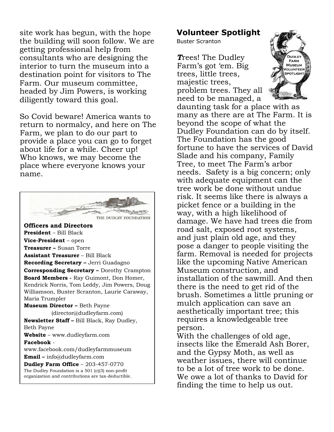site work has begun, with the hope the building will soon follow. We are getting professional help from consultants who are designing the interior to turn the museum into a destination point for visitors to The Farm. Our museum committee, headed by Jim Powers, is working diligently toward this goal.

So Covid beware! America wants to return to normalcy, and here on The Farm, we plan to do our part to provide a place you can go to forget about life for a while. Cheer up! Who knows, we may become the place where everyone knows your name.



**Volunteer Spotlight**

Buster Scranton

*T*rees! The Dudley Farm's got 'em. Big trees, little trees, majestic trees, problem trees. They all need to be managed, a



daunting task for a place with as many as there are at The Farm. It is beyond the scope of what the Dudley Foundation can do by itself. The Foundation has the good fortune to have the services of David Slade and his company, Family Tree, to meet The Farm's arbor needs. Safety is a big concern; only with adequate equipment can the tree work be done without undue risk. It seems like there is always a picket fence or a building in the way, with a high likelihood of damage. We have had trees die from road salt, exposed root systems, and just plain old age, and they pose a danger to people visiting the farm. Removal is needed for projects like the upcoming Native American Museum construction, and installation of the sawmill. And then there is the need to get rid of the brush. Sometimes a little pruning or mulch application can save an aesthetically important tree; this requires a knowledgeable tree person.

With the challenges of old age, insects like the Emerald Ash Borer, and the Gypsy Moth, as well as weather issues, there will continue to be a lot of tree work to be done. We owe a lot of thanks to David for finding the time to help us out.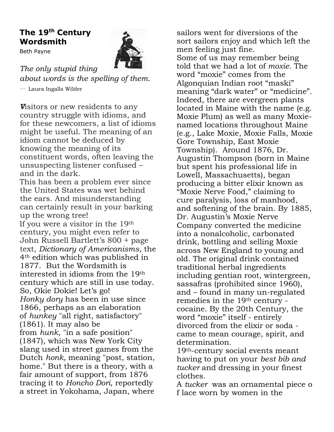# **The 19th Century Wordsmith**

Beth Payne



*The only stupid thing* 

*about words is the spelling of them.* -- Laura Ingalls Wilder

*V*isitors or new residents to any country struggle with idioms, and for these newcomers, a list of idioms might be useful. The meaning of an idiom cannot be deduced by knowing the meaning of its constituent words, often leaving the unsuspecting listener confused – and in the dark.

This has been a problem ever since the United States was wet behind the ears. And misunderstanding can certainly result in your barking up the wrong tree!

If you were a visitor in the 19th century, you might even refer to John Russell Bartlett's 800 + page text, *Dictionary of Americanisms*, the 4th edition which was published in 1877. But the Wordsmith is interested in idioms from the 19th century which are still in use today. So, Okie Dokie! Let's go! *Honky dory* has been in use since 1866, perhaps as an elaboration of *hunkey* "all right, satisfactory" (1861). It may also be from *hunk,* "in a safe position" (1847), which was New York City slang used in street games from the Dutch *honk,* meaning "post, station, home." But there is a theory, with a fair amount of support, from 1876 tracing it to *Honcho Dori*, reportedly a street in Yokohama, Japan, where

sailors went for diversions of the sort sailors enjoy and which left the men feeling just fine. Some of us may remember being told that we had a lot of *moxie*. The word "moxie" comes from the Algonquian Indian root "maski" meaning "dark water" or "medicine". Indeed, there are evergreen plants located in Maine with the name (e.g. Moxie Plum) as well as many Moxienamed locations throughout Maine (e.g., Lake Moxie, Moxie Falls, Moxie Gore Township, East Moxie Township). Around 1876, Dr. Augustin Thompson (born in Maine but spent his professional life in Lowell, Massachusetts), began producing a bitter elixir known as "Moxie Nerve Food," claiming to cure paralysis, loss of manhood, and softening of the brain. By 1885, Dr. Augustin's Moxie Nerve Company converted the medicine into a nonalcoholic, carbonated drink, bottling and selling Moxie across New England to young and old. The original drink contained traditional herbal ingredients including gentian root, wintergreen, sassafras (prohibited since 1960), and – found in many un-regulated remedies in the 19th century cocaine. By the 20th Century, the word "moxie" itself - entirely divorced from the elixir or soda came to mean courage, spirit, and determination.

19th-century social events meant having to put on your *best bib and tucker* and dressing in your finest clothes.

A *tucker* was an ornamental piece o f lace worn by women in the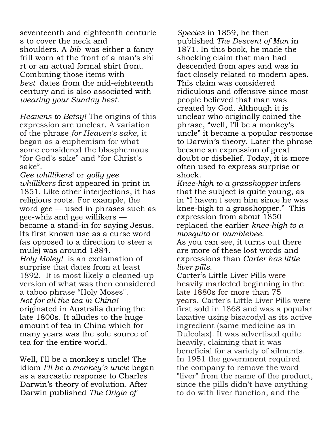seventeenth and eighteenth centurie s to cover the neck and shoulders. A *bib* was either a fancy frill worn at the front of a man's shi rt or an actual formal shirt front. Combining those items with *best* dates from the mid-eighteenth century and is also associated with *wearing your Sunday best*.

*Heavens to Betsy!* The origins of this expression are unclear. A variation of the phrase *for Heaven's sake*, it began as a euphemism for what some considered the blasphemous "for God's sake" and "for Christ's sake".

*Gee whillikers*! or *golly gee whillikers* first appeared in print in 1851. Like other interjections, it has religious roots. For example, the word gee — used in phrases such as gee-whiz and gee willikers became a stand-in for saying Jesus. Its first known use as a curse word (as opposed to a direction to steer a mule) was around 1884. *Holy Moley!* is an exclamation of surprise that dates from at least 1892. It is most likely a cleaned-up version of what was then considered a taboo phrase "Holy Moses". *Not for all the tea in China!* originated in Australia during the late 1800s. It alludes to the huge amount of tea in China which for many years was the sole source of tea for the entire world.

Well, I'll be a monkey's uncle! The idiom *I'll be a monkey's uncle* began as a sarcastic response to Charles Darwin's theory of evolution. After Darwin published *The Origin of*

*Species* in 1859, he then published *The Descent of Man* in 1871. In this book, he made the shocking claim that man had descended from apes and was in fact closely related to modern apes. This claim was considered ridiculous and offensive since most people believed that man was created by God. Although it is unclear who originally coined the phrase, "well, I'll be a monkey's uncle" it became a popular response to Darwin's theory. Later the phrase became an expression of great doubt or disbelief. Today, it is more often used to express surprise or shock.

*Knee-high to a grasshopper* infers that the subject is quite young, as in "I haven't seen him since he was knee-high to a grasshopper." This expression from about 1850 replaced the earlier *knee-high to a mosquito* or *bumblebee.*

As you can see, it turns out there are more of these lost words and expressions than *Carter has little liver pills*.

Carter's Little Liver Pills were heavily marketed beginning in the late 1880s for more than 75 years. Carter's Little Liver Pills were first sold in 1868 and was a popular laxative using bisacodyl as its active ingredient (same medicine as in Dulcolax). It was advertised quite heavily, claiming that it was beneficial for a variety of ailments. In 1951 the government required the company to remove the word "liver" from the name of the product, since the pills didn't have anything to do with liver function, and the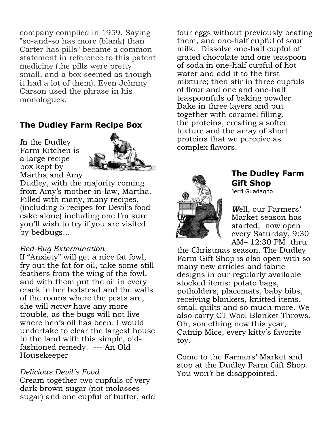company complied in 1959. Saying "so-and-so has more (blank) than Carter has pills" became a common statement in reference to this patent medicine (the pills were pretty small, and a box seemed as though it had a lot of them). Even Johnny Carson used the phrase in his monologues.

# **The Dudley Farm Recipe Box**

*I*n the Dudley Farm Kitchen is a large recipe box kept by Martha and Amy



Dudley, with the majority coming from Amy's mother-in-law, Martha. Filled with many, many recipes, (including 5 recipes for Devil's food cake alone) including one I'm sure you'll wish to try if you are visited by bedbugs...

#### *Bed-Bug Extermination*

If "Anxiety" will get a nice fat fowl, fry out the fat for oil, take some still feathers from the wing of the fowl, and with them put the oil in every crack in her bedstead and the walls of the rooms where the pests are, she will *never* have any more trouble, as the bugs will not live where hen's oil has been. I would undertake to clear the largest house in the land with this simple, oldfashioned remedy. --- An Old Housekeeper

#### *Delicious Devil's Food*

Cream together two cupfuls of very dark brown sugar (not molasses sugar) and one cupful of butter, add four eggs without previously beating them, and one-half cupful of sour milk. Dissolve one-half cupful of grated chocolate and one teaspoon of soda in one-half cupful of hot water and add it to the first mixture; then stir in three cupfuls of flour and one and one-half teaspoonfuls of baking powder. Bake in three layers and put together with caramel filling. the proteins, creating a softer texture and the array of short proteins that we perceive as complex flavors.



# **The Dudley Farm Gift Shop**

Jerri Guadagno

*W*ell, our Farmers' Market season has started, now open every Saturday, 9:30 AM– 12:30 PM thru

the Christmas season. The Dudley Farm Gift Shop is also open with so many new articles and fabric designs in our regularly available stocked items: potato bags, potholders, placemats, baby bibs, receiving blankets, knitted items, small quilts and so much more. We also carry CT Wool Blanket Throws. Oh, something new this year, Catnip Mice, every kitty's favorite toy.

Come to the Farmers' Market and stop at the Dudley Farm Gift Shop. You won't be disappointed.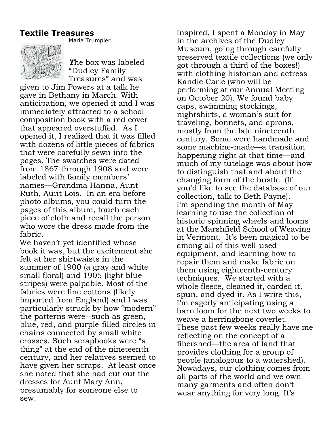## **Textile Treasures**



Maria Trumpler

*T*he box was labeled "Dudley Family Treasures" and was

given to Jim Powers at a talk he gave in Bethany in March. With anticipation, we opened it and I was immediately attracted to a school composition book with a red cover that appeared overstuffed. As I opened it, I realized that it was filled with dozens of little pieces of fabrics that were carefully sewn into the pages. The swatches were dated from 1867 through 1908 and were labeled with family members' names—Grandma Hanna, Aunt Ruth, Aunt Lois. In an era before photo albums, you could turn the pages of this album, touch each piece of cloth and recall the person who wore the dress made from the fabric.

We haven't yet identified whose book it was, but the excitement she felt at her shirtwaists in the summer of 1900 (a gray and white small floral) and 1905 (light blue stripes) were palpable. Most of the fabrics were fine cottons (likely imported from England) and I was particularly struck by how "modern" the patterns were--such as green, blue, red, and purple-filled circles in chains connected by small white crosses. Such scrapbooks were "a thing" at the end of the nineteenth century, and her relatives seemed to have given her scraps. At least once she noted that she had cut out the dresses for Aunt Mary Ann, presumably for someone else to sew.

Inspired, I spent a Monday in May in the archives of the Dudley Museum, going through carefully preserved textile collections (we only got through a third of the boxes!) with clothing historian and actress Kandie Carle (who will be performing at our Annual Meeting on October 20). We found baby caps, swimming stockings, nightshirts, a woman's suit for traveling, bonnets, and aprons, mostly from the late nineteenth century. Some were handmade and some machine-made—a transition happening right at that time—and much of my tutelage was about how to distinguish that and about the changing form of the bustle. (If you'd like to see the database of our collection, talk to Beth Payne). I'm spending the month of May learning to use the collection of historic spinning wheels and looms at the Marshfield School of Weaving in Vermont. It's been magical to be among all of this well-used equipment, and learning how to repair them and make fabric on them using eighteenth-century techniques. We started with a whole fleece, cleaned it, carded it, spun, and dyed it. As I write this, I'm eagerly anticipating using a barn loom for the next two weeks to weave a herringbone coverlet. These past few weeks really have me reflecting on the concept of a fibershed—the area of land that provides clothing for a group of people (analogous to a watershed). Nowadays, our clothing comes from all parts of the world and we own many garments and often don't wear anything for very long. It's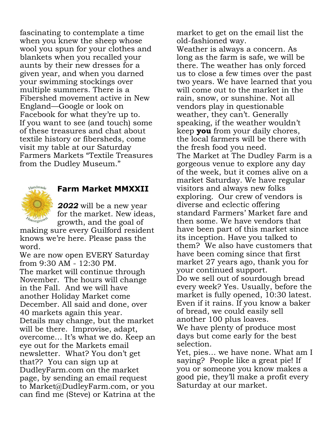fascinating to contemplate a time when you knew the sheep whose wool you spun for your clothes and blankets when you recalled your aunts by their new dresses for a given year, and when you darned your swimming stockings over multiple summers. There is a Fibershed movement active in New England—Google or look on Facebook for what they're up to. If you want to see (and touch) some of these treasures and chat about textile history or fibersheds, come visit my table at our Saturday Farmers Markets "Textile Treasures from the Dudley Museum."



# **Farm Market MMXXII**

*2022* will be a new year for the market. New ideas, growth, and the goal of

making sure every Guilford resident knows we're here. Please pass the word.

We are now open EVERY Saturday from 9:30 AM - 12:30 PM. The market will continue through November. The hours will change in the Fall. And we will have another Holiday Market come December. All said and done, over 40 markets again this year. Details may change, but the market will be there. Improvise, adapt, overcome… It's what we do. Keep an eye out for the Markets email newsletter. What? You don't get that?? You can sign up at DudleyFarm.com on the market page, by sending an email request to Market@DudleyFarm.com, or you can find me (Steve) or Katrina at the

market to get on the email list the old-fashioned way.

Weather is always a concern. As long as the farm is safe, we will be there. The weather has only forced us to close a few times over the past two years. We have learned that you will come out to the market in the rain, snow, or sunshine. Not all vendors play in questionable weather, they can't. Generally speaking, if the weather wouldn't keep **you** from your daily chores, the local farmers will be there with the fresh food you need. The Market at The Dudley Farm is a gorgeous venue to explore any day of the week, but it comes alive on a market Saturday. We have regular visitors and always new folks exploring. Our crew of vendors is diverse and eclectic offering standard Farmers' Market fare and then some. We have vendors that have been part of this market since its inception. Have you talked to them? We also have customers that have been coming since that first market 27 years ago, thank you for your continued support. Do we sell out of sourdough bread every week? Yes. Usually, before the market is fully opened, 10:30 latest. Even if it rains. If you know a baker of bread, we could easily sell another 100 plus loaves. We have plenty of produce most days but come early for the best selection.

Yet, pies… we have none. What am I saying? People like a great pie! If you or someone you know makes a good pie, they'll make a profit every Saturday at our market.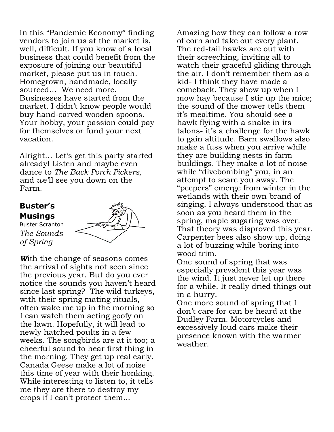In this "Pandemic Economy" finding vendors to join us at the market is, well, difficult. If you know of a local business that could benefit from the exposure of joining our beautiful market, please put us in touch. Homegrown, handmade, locally sourced… We need more. Businesses have started from the market. I didn't know people would buy hand-carved wooden spoons. Your hobby, your passion could pay for themselves or fund your next vacation.

Alright… Let's get this party started already! Listen and maybe even dance to *The Back Porch Pickers,*  and *w*e'll see you down on the Farm.

# **Buster's Musings**

Buster Scranton *The Sounds of Spring*



*W*ith the change of seasons comes the arrival of sights not seen since the previous year. But do you ever notice the sounds you haven't heard since last spring? The wild turkeys, with their spring mating rituals, often wake me up in the morning so I can watch them acting goofy on the lawn. Hopefully, it will lead to newly hatched poults in a few weeks. The songbirds are at it too; a cheerful sound to hear first thing in the morning. They get up real early. Canada Geese make a lot of noise this time of year with their honking. While interesting to listen to, it tells me they are there to destroy my crops if I can't protect them...

Amazing how they can follow a row of corn and take out every plant. The red-tail hawks are out with their screeching, inviting all to watch their graceful gliding through the air. I don't remember them as a kid- I think they have made a comeback. They show up when I mow hay because I stir up the mice; the sound of the mower tells them it's mealtime. You should see a hawk flying with a snake in its talons- it's a challenge for the hawk to gain altitude. Barn swallows also make a fuss when you arrive while they are building nests in farm buildings. They make a lot of noise while "divebombing" you, in an attempt to scare you away. The "peepers" emerge from winter in the wetlands with their own brand of singing. I always understood that as soon as you heard them in the spring, maple sugaring was over. That theory was disproved this year. Carpenter bees also show up, doing a lot of buzzing while boring into wood trim.

One sound of spring that was especially prevalent this year was the wind. It just never let up there for a while. It really dried things out in a hurry.

One more sound of spring that I don't care for can be heard at the Dudley Farm. Motorcycles and excessively loud cars make their presence known with the warmer weather.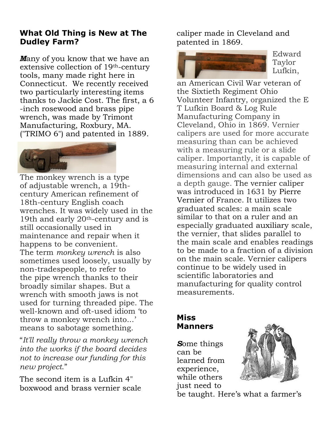# **What Old Thing is New at The Dudley Farm?**

*M*any of you know that we have an extensive collection of 19th-century tools, many made right here in Connecticut. We recently received two particularly interesting items thanks to Jackie Cost. The first, a 6 -inch rosewood and brass pipe wrench, was made by Trimont Manufacturing, Roxbury, MA. ("TRIMO 6") and patented in 1889.



The monkey wrench is a type of adjustable wrench, a 19thcentury American refinement of 18th-century English coach wrenches. It was widely used in the 19th and early 20th-century and is still occasionally used in maintenance and repair when it happens to be convenient. The term *monkey wrench* is also sometimes used loosely, usually by non-tradespeople, to refer to the pipe wrench thanks to their broadly similar shapes. But a wrench with smooth jaws is not used for turning threaded pipe. The well-known and oft-used idiom 'to throw a monkey wrench into...' means to sabotage something.

"*It'll really throw a monkey wrench into the works if the board decides not to increase our funding for this new project*."

The second item is a Lufkin 4" boxwood and brass vernier scale caliper made in Cleveland and patented in 1869.



Edward Taylor Lufkin,

an American Civil War veteran of the Sixtieth Regiment Ohio Volunteer Infantry, organized the E T Lufkin Board & Log Rule Manufacturing Company in Cleveland, Ohio in 1869. Vernier calipers are used for more accurate measuring than can be achieved with a measuring rule or a slide caliper. Importantly, it is capable of measuring internal and external dimensions and can also be used as a depth gauge. The vernier caliper was introduced in 1631 by Pierre Vernier of France. It utilizes two graduated scales: a main scale similar to that on a ruler and an especially graduated auxiliary scale, the vernier, that slides parallel to the main scale and enables readings to be made to a fraction of a division on the main scale. Vernier calipers continue to be widely used in scientific laboratories and manufacturing for quality control measurements.

# **Miss Manners**

*S*ome things can be learned from experience, while others just need to



be taught. Here's what a farmer's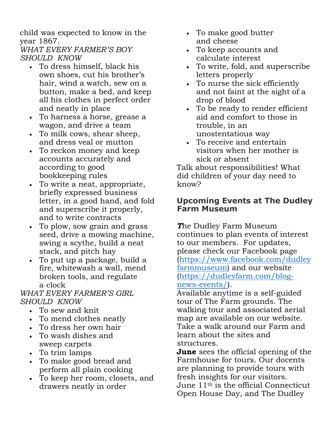child was expected to know in the year 1867.

*WHAT EVERY FARMER'S BOY SHOULD KNOW*

- To dress himself, black his own shoes, cut his brother's hair, wind a watch, sew on a button, make a bed, and keep all his clothes in perfect order and neatly in place
- To harness a horse, grease a wagon, and drive a team
- To milk cows, shear sheep, and dress veal or mutton
- To reckon money and keep accounts accurately and according to good bookkeeping rules
- To write a neat, appropriate, briefly expressed business letter, in a good hand, and fold and superscribe it properly, and to write contracts
- To plow, sow grain and grass seed, drive a mowing machine, swing a scythe, build a neat stack, and pitch hay
- To put up a package, build a fire, whitewash a wall, mend broken tools, and regulate a clock

# *WHAT EVERY FARMER'S GIRL SHOULD KNOW*

- To sew and knit
- To mend clothes neatly
- To dress her own hair
- To wash dishes and sweep carpets
- To trim lamps
- To make good bread and perform all plain cooking
- To keep her room, closets, and drawers neatly in order
- To make good butter and cheese
- To keep accounts and calculate interest
- To write, fold, and superscribe letters properly
- To nurse the sick efficiently and not faint at the sight of a drop of blood
- To be ready to render efficient aid and comfort to those in trouble, in an unostentatious way
- To receive and entertain visitors when her mother is sick or absent

Talk about responsibilities! What did children of your day need to know?

# **Upcoming Events at The Dudley Farm Museum**

*T*he Dudley Farm Museum continues to plan events of interest to our members. For updates, please check our Facebook page (https://www.facebook.com/dudley farmmuseum) and our website (https://dudleyfarm.com/blognews-events/).

Available anytime is a self-guided tour of The Farm grounds. The walking tour and associated aerial map are available on our website. Take a walk around our Farm and learn about the sites and structures.

**June** sees the official opening of the Farmhouse for tours. Our docents are planning to provide tours with fresh insights for our visitors. June 11th is the official Connecticut Open House Day, and The Dudley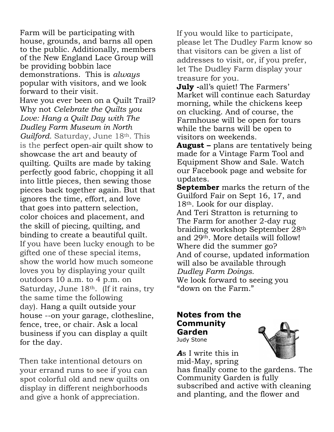Farm will be participating with house, grounds, and barns all open to the public. Additionally, members of the New England Lace Group will be providing bobbin lace demonstrations. This is *always*  popular with visitors, and we look forward to their visit.

Have you ever been on a Quilt Trail? Why not *Celebrate the Quilts you Love: Hang a Quilt Day with The Dudley Farm Museum in North Guilford.* Saturday, June 18<sup>th</sup>. This is the perfect open-air quilt show to showcase the art and beauty of quilting. Quilts are made by taking perfectly good fabric, chopping it all into little pieces, then sewing those pieces back together again. But that ignores the time, effort, and love that goes into pattern selection, color choices and placement, and the skill of piecing, quilting, and binding to create a beautiful quilt. If you have been lucky enough to be gifted one of these special items, show the world how much someone loves you by displaying your quilt outdoors 10 a.m. to 4 p.m. on Saturday, June 18<sup>th</sup>. (If it rains, try the same time the following day). Hang a quilt outside your house --on your garage, clothesline, fence, tree, or chair. Ask a local business if you can display a quilt for the day.

Then take intentional detours on your errand runs to see if you can spot colorful old and new quilts on display in different neighborhoods and give a honk of appreciation.

If you would like to participate, please let The Dudley Farm know so that visitors can be given a list of addresses to visit, or, if you prefer, let The Dudley Farm display your treasure for you.

**July -**all's quiet! The Farmers' Market will continue each Saturday morning, while the chickens keep on clucking. And of course, the Farmhouse will be open for tours while the barns will be open to visitors on weekends.

**August –** plans are tentatively being made for a Vintage Farm Tool and Equipment Show and Sale. Watch our Facebook page and website for updates.

**September** marks the return of the Guilford Fair on Sept 16, 17, and 18th. Look for our display. And Teri Stratton is returning to The Farm for another 2-day rug braiding workshop September 28th and 29th. More details will follow! Where did the summer go? And of course, updated information will also be available through *Dudley Farm Doings.*  We look forward to seeing you "down on the Farm."

#### **Notes from the Community Garden** Judy Stone



*A*s I write this in mid-May, spring

has finally come to the gardens. The Community Garden is fully subscribed and active with cleaning and planting, and the flower and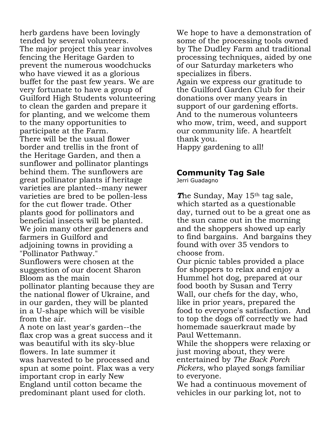herb gardens have been lovingly tended by several volunteers. The major project this year involves fencing the Heritage Garden to prevent the numerous woodchucks who have viewed it as a glorious buffet for the past few years. We are very fortunate to have a group of Guilford High Students volunteering to clean the garden and prepare it for planting, and we welcome them to the many opportunities to participate at the Farm. There will be the usual flower border and trellis in the front of the Heritage Garden, and then a sunflower and pollinator plantings behind them. The sunflowers are great pollinator plants if heritage varieties are planted--many newer varieties are bred to be pollen-less for the cut flower trade. Other plants good for pollinators and beneficial insects will be planted. We join many other gardeners and farmers in Guilford and adjoining towns in providing a "Pollinator Pathway." Sunflowers were chosen at the suggestion of our docent Sharon Bloom as the main pollinator planting because they are the national flower of Ukraine, and in our garden, they will be planted in a U-shape which will be visible from the air. A note on last year's garden--the flax crop was a great success and it was beautiful with its sky-blue

flowers. In late summer it was harvested to be processed and spun at some point. Flax was a very important crop in early New England until cotton became the predominant plant used for cloth.

We hope to have a demonstration of some of the processing tools owned by The Dudley Farm and traditional processing techniques, aided by one of our Saturday marketers who specializes in fibers. Again we express our gratitude to the Guilford Garden Club for their donations over many years in support of our gardening efforts. And to the numerous volunteers who mow, trim, weed, and support our community life. A heartfelt thank you. Happy gardening to all!

# **Community Tag Sale**

Jerri Guadagno

**The Sunday, May 15<sup>th</sup> tag sale,** which started as a questionable day, turned out to be a great one as the sun came out in the morning and the shoppers showed up early to find bargains. And bargains they found with over 35 vendors to choose from.

Our picnic tables provided a place for shoppers to relax and enjoy a Hummel hot dog, prepared at our food booth by Susan and Terry Wall, our chefs for the day, who, like in prior years, prepared the food to everyone's satisfaction. And to top the dogs off correctly we had homemade sauerkraut made by Paul Wettemann.

While the shoppers were relaxing or just moving about, they were entertained by *The Back Porch Pickers*, who played songs familiar to everyone.

We had a continuous movement of vehicles in our parking lot, not to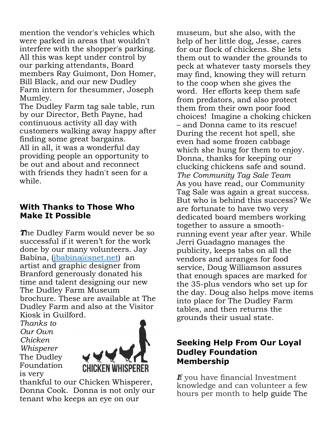mention the vendor's vehicles which were parked in areas that wouldn't interfere with the shopper's parking. All this was kept under control by our parking attendants, Board members Ray Guimont, Don Homer, Bill Black, and our new Dudley Farm intern for thesummer, Joseph Mumley.

The Dudley Farm tag sale table, run by our Director, Beth Payne, had continuous activity all day with customers walking away happy after finding some great bargains. All in all, it was a wonderful day providing people an opportunity to be out and about and reconnect with friends they hadn't seen for a while.

### **With Thanks to Those Who Make It Possible**

*T*he Dudley Farm would never be so successful if it weren't for the work done by our many volunteers. Jay Babina, (jbabina@snet.net) an artist and graphic designer from Branford generously donated his time and talent designing our new The Dudley Farm Museum brochure. These are available at The Dudley Farm and also at the Visitor Kiosk in Guilford.

*Thanks to Our Own Chicken Whisperer* The Dudley Foundation is very



thankful to our Chicken Whisperer, Donna Cook. Donna is not only our tenant who keeps an eye on our

museum, but she also, with the help of her little dog, Jesse, cares for our flock of chickens. She lets them out to wander the grounds to peck at whatever tasty morsels they may find, knowing they will return to the coop when she gives the word. Her efforts keep them safe from predators, and also protect them from their own poor food choices! Imagine a choking chicken – and Donna came to its rescue! During the recent hot spell, she even had some frozen cabbage which she hung for them to enjoy. Donna, thanks for keeping our clucking chickens safe and sound. *The Community Tag Sale Team*  As you have read, our Community Tag Sale was again a great success. But who is behind this success? We are fortunate to have two very dedicated board members working together to assure a smoothrunning event year after year. While Jerri Guadagno manages the publicity, keeps tabs on all the vendors and arranges for food service, Doug Williamson assures that enough spaces are marked for the 35-plus vendors who set up for the day. Doug also helps move items into place for The Dudley Farm tables, and then returns the grounds their usual state.

# **Seeking Help From Our Loyal Dudley Foundation Membership**

*I*f you have financial Investment knowledge and can volunteer a few hours per month to help guide The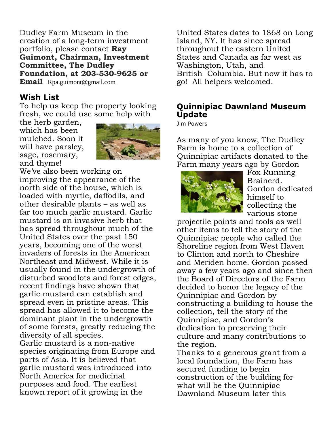Dudley Farm Museum in the creation of a long-term investment portfolio, please contact **Ray Guimont, Chairman, Investment Committee, The Dudley Foundation, at 203-530-9625 or Email** Rpa.guimont@gmail.com

## **Wish List**

To help us keep the property looking fresh, we could use some help with

the herb garden, which has been mulched. Soon it will have parsley, sage, rosemary, and thyme!



We've also been working on improving the appearance of the north side of the house, which is loaded with myrtle, daffodils, and other desirable plants – as well as far too much garlic mustard. Garlic mustard is an invasive herb that has spread throughout much of the United States over the past 150 years, becoming one of the worst invaders of forests in the American Northeast and Midwest. While it is usually found in the undergrowth of disturbed woodlots and forest edges, recent findings have shown that garlic mustard can establish and spread even in pristine areas. This spread has allowed it to become the dominant plant in the undergrowth of some forests, greatly reducing the diversity of all species. Garlic mustard is a non-native species originating from Europe and parts of Asia. It is believed that garlic mustard was introduced into North America for medicinal purposes and food. The earliest known report of it growing in the

United States dates to 1868 on Long Island, NY. It has since spread throughout the eastern United States and Canada as far west as Washington, Utah, and British Columbia. But now it has to go! All helpers welcomed.

# **Quinnipiac Dawnland Museum Update**

Jim Powers

As many of you know, The Dudley Farm is home to a collection of Quinnipiac artifacts donated to the Farm many years ago by Gordon



Fox Running Brainerd. Gordon dedicated himself to collecting the various stone

projectile points and tools as well other items to tell the story of the Quinnipiac people who called the Shoreline region from West Haven to Clinton and north to Cheshire and Meriden home. Gordon passed away a few years ago and since then the Board of Directors of the Farm decided to honor the legacy of the Quinnipiac and Gordon by constructing a building to house the collection, tell the story of the Quinnipiac, and Gordon's dedication to preserving their culture and many contributions to the region.

Thanks to a generous grant from a local foundation, the Farm has secured funding to begin construction of the building for what will be the Quinnipiac Dawnland Museum later this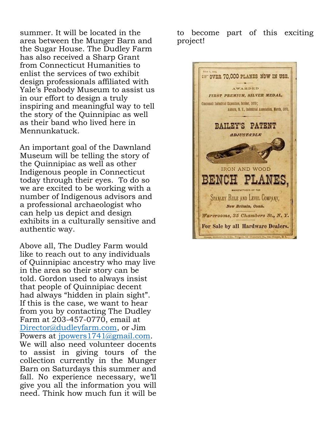summer. It will be located in the area between the Munger Barn and the Sugar House. The Dudley Farm has also received a Sharp Grant from Connecticut Humanities to enlist the services of two exhibit design professionals affiliated with Yale's Peabody Museum to assist us in our effort to design a truly inspiring and meaningful way to tell the story of the Quinnipiac as well as their band who lived here in Mennunkatuck.

An important goal of the Dawnland Museum will be telling the story of the Quinnipiac as well as other Indigenous people in Connecticut today through their eyes. To do so we are excited to be working with a number of Indigenous advisors and a professional archaeologist who can help us depict and design exhibits in a culturally sensitive and authentic way.

Above all, The Dudley Farm would like to reach out to any individuals of Quinnipiac ancestry who may live in the area so their story can be told. Gordon used to always insist that people of Quinnipiac decent had always "hidden in plain sight". If this is the case, we want to hear from you by contacting The Dudley Farm at 203-457-0770, email at Director@dudleyfarm.com, or Jim Powers at jpowers1741@gmail.com. We will also need volunteer docents to assist in giving tours of the collection currently in the Munger Barn on Saturdays this summer and fall. No experience necessary, we'll give you all the information you will need. Think how much fun it will be

to become part of this exciting project!

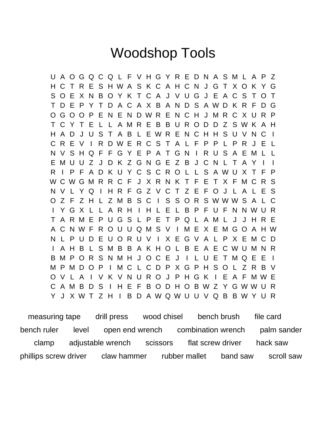# Woodshop Tools

U A O G Q C Q L F V H G Y R E D N A S M L A P Z H C T R E S H W A S K C A H C N J G T X O K Y G S O E X N B O Y K T C A J V U G J E A C S T O T T D E P Y T D A C A X B A N D S A W D K R F D G O G O O P E N E N D W R E N C H J M R C X U R P T C Y T E L L A M R E B B U R O D D Z S W K A H H A D J U S T A B L E W R E N C H H S U V N C I C R E V I R D W E R C S T A L F P P L P R J E L N V S H Q F F G Y E P A T G N I R U S A E M L L E M U U Z J D K Z G N G E Z B J C N L T A Y R I P F A D K U Y C S C R O L L S A W U X T F P W C W G M R R C F J X R N K T F E T X F M C R S N V L Y Q I H R F G Z V C T Z E F O J L A L E S O Z F Z H L Z M B S C I S S O R S W W W S A L C I Y G X L L A R H I H L E L B P F U F N N W U R T A R M E P U G S L P E T P Q L A M L J J H R E A C N W F R O U U Q M S V I M E X E M G O A H W N L P U D E U O R U V I X E G V A L P X E M C D I A H B L S M B B A K H O L B E A E C W U M N R B M P O R S N M H J O C E J I L U E T M Q E E I M P M D O P I M C L C D P X G P H S O L Z R B V O V L A I V K V N U R O J P H G K I E A F M W E C A M B D S I H E F B O D H O B W Z Y G W W U R Y J X W T Z H I B D A W Q W U U V Q B B W Y U R

 measuring tape drill press wood chisel bench brush file card bench ruler level open end wrench combination wrench palm sander clamp adjustable wrench scissors flat screw driver hack saw phillips screw driver claw hammer rubber mallet band saw scroll saw